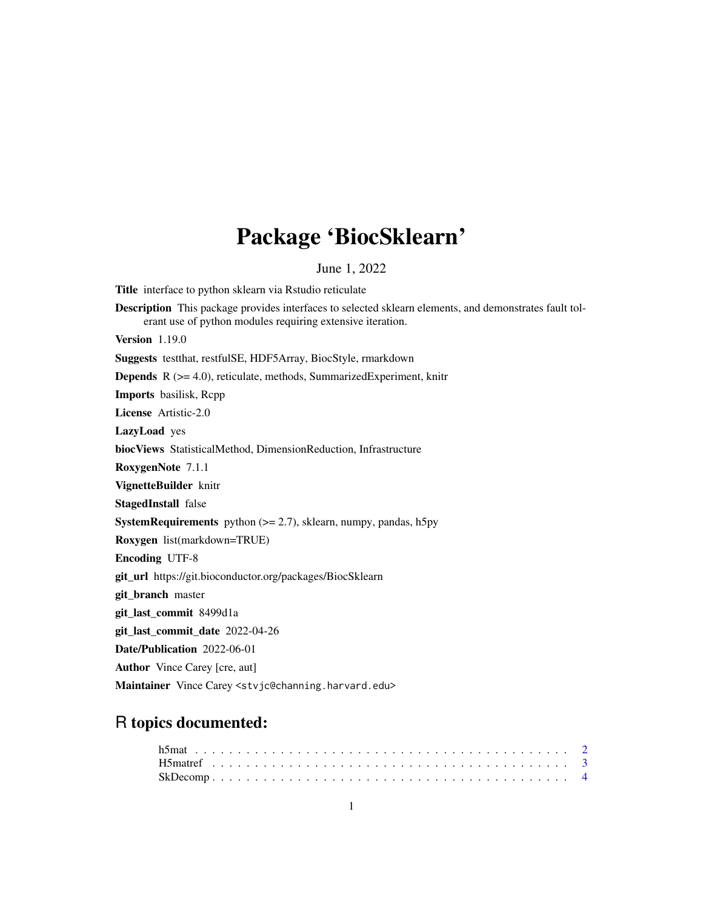# Package 'BiocSklearn'

June 1, 2022

Title interface to python sklearn via Rstudio reticulate Description This package provides interfaces to selected sklearn elements, and demonstrates fault tolerant use of python modules requiring extensive iteration. Version 1.19.0 Suggests testthat, restfulSE, HDF5Array, BiocStyle, rmarkdown Depends R (>= 4.0), reticulate, methods, SummarizedExperiment, knitr Imports basilisk, Rcpp License Artistic-2.0 LazyLoad yes biocViews StatisticalMethod, DimensionReduction, Infrastructure RoxygenNote 7.1.1 VignetteBuilder knitr StagedInstall false **SystemRequirements** python  $(>= 2.7)$ , sklearn, numpy, pandas, h5py Roxygen list(markdown=TRUE) Encoding UTF-8 git\_url https://git.bioconductor.org/packages/BiocSklearn git branch master git\_last\_commit 8499d1a git\_last\_commit\_date 2022-04-26 Date/Publication 2022-06-01 Author Vince Carey [cre, aut] Maintainer Vince Carey <stvjc@channing.harvard.edu>

# R topics documented: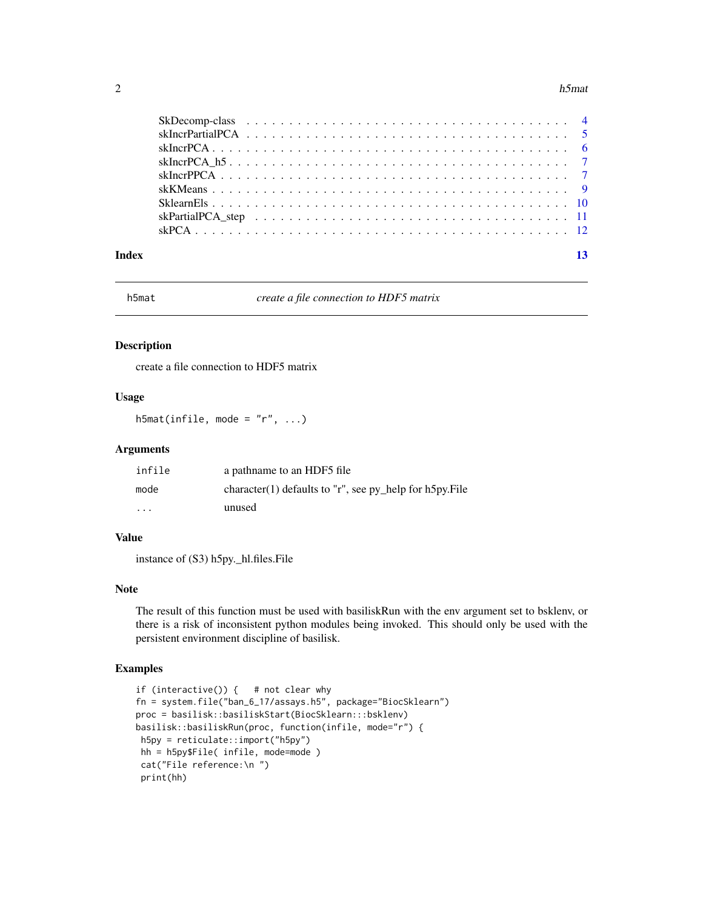#### <span id="page-1-0"></span> $2 \t\t h5$ mat

| Index | 13 |
|-------|----|

h5mat *create a file connection to HDF5 matrix*

#### Description

create a file connection to HDF5 matrix

# Usage

h5mat(infile, mode =  $"r", ...$ )

#### Arguments

| infile  | a pathname to an HDF5 file                               |
|---------|----------------------------------------------------------|
| mode    | character(1) defaults to "r", see py_help for h5py. File |
| $\cdot$ | unused                                                   |

# Value

instance of (S3) h5py.\_hl.files.File

# Note

The result of this function must be used with basiliskRun with the env argument set to bsklenv, or there is a risk of inconsistent python modules being invoked. This should only be used with the persistent environment discipline of basilisk.

```
if (interactive()) { # not clear why
fn = system.file("ban_6_17/assays.h5", package="BiocSklearn")
proc = basilisk::basiliskStart(BiocSklearn:::bsklenv)
basilisk::basiliskRun(proc, function(infile, mode="r") {
h5py = reticulate::import("h5py")
hh = h5py$File( infile, mode=mode )
cat("File reference:\n ")
print(hh)
```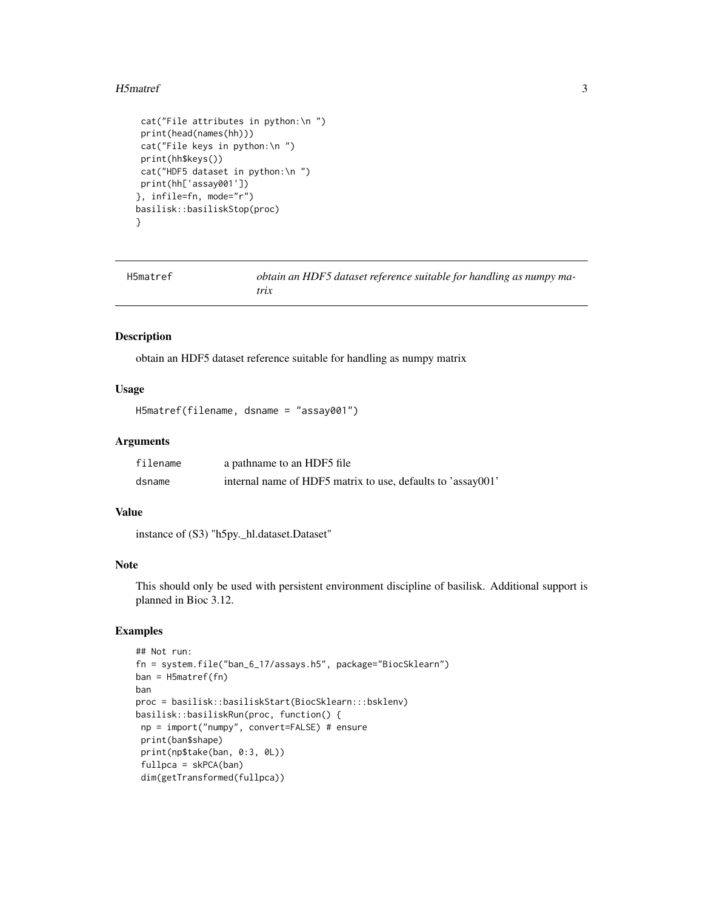#### <span id="page-2-0"></span>H5matref 3

```
cat("File attributes in python:\n ")
print(head(names(hh)))
cat("File keys in python:\n ")
print(hh$keys())
cat("HDF5 dataset in python:\n ")
print(hh['assay001'])
}, infile=fn, mode="r")
basilisk::basiliskStop(proc)
}
```
H5matref *obtain an HDF5 dataset reference suitable for handling as numpy matrix*

#### Description

obtain an HDF5 dataset reference suitable for handling as numpy matrix

#### Usage

```
H5matref(filename, dsname = "assay001")
```
# Arguments

| filename | a pathname to an HDF5 file                                  |
|----------|-------------------------------------------------------------|
| dsname   | internal name of HDF5 matrix to use, defaults to 'assay001' |

#### Value

instance of (S3) "h5py.\_hl.dataset.Dataset"

#### Note

This should only be used with persistent environment discipline of basilisk. Additional support is planned in Bioc 3.12.

```
## Not run:
fn = system.file("ban_6_17/assays.h5", package="BiocSklearn")
ban = H5matref(fn)
ban
proc = basilisk::basiliskStart(BiocSklearn:::bsklenv)
basilisk::basiliskRun(proc, function() {
np = import("numpy", convert=FALSE) # ensure
print(ban$shape)
print(np$take(ban, 0:3, 0L))
fullpca = skPCA(ban)
dim(getTransformed(fullpca))
```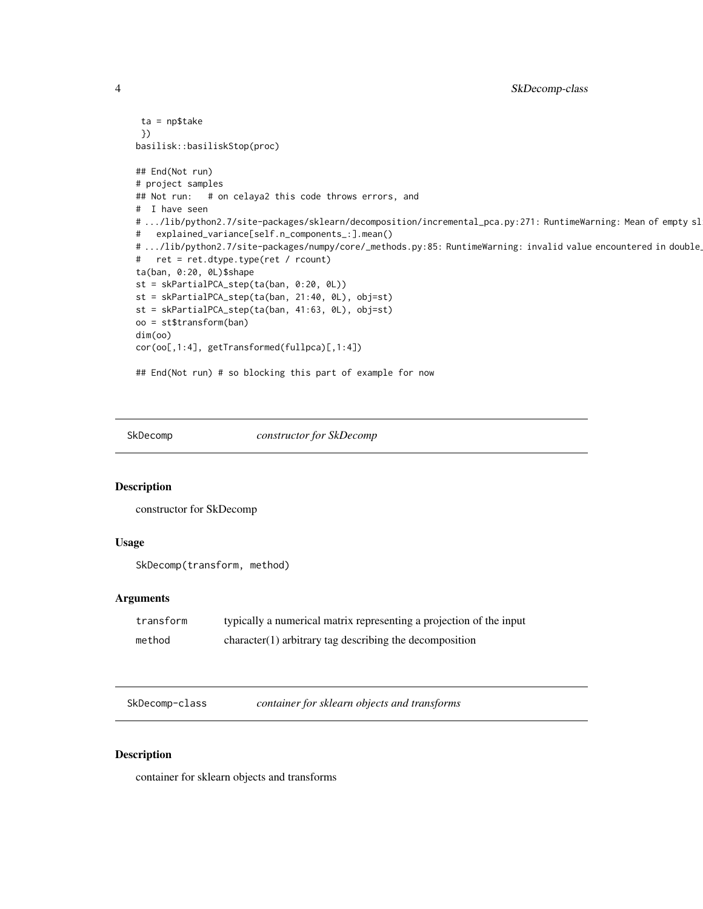```
ta = np$take
 })
basilisk::basiliskStop(proc)
## End(Not run)
# project samples
## Not run: # on celaya2 this code throws errors, and
# I have seen
# .../lib/python2.7/site-packages/sklearn/decomposition/incremental_pca.py:271: RuntimeWarning: Mean of empty sl
# explained_variance[self.n_components_:].mean()
# .../lib/python2.7/site-packages/numpy/core/_methods.py:85: RuntimeWarning: invalid value encountered in double
# ret = ret.dtype.type(ret / rcount)
ta(ban, 0:20, 0L)$shape
st = skPartialPCA_step(ta(ban, 0:20, 0L))
st = skPartialPCA_step(ta(ban, 21:40, 0L), obj=st)
st = skPartialPCA_step(ta(ban, 41:63, 0L), obj=st)
oo = st$transform(ban)
dim(oo)
cor(oo[,1:4], getTransformed(fullpca)[,1:4])
## End(Not run) # so blocking this part of example for now
```
SkDecomp *constructor for SkDecomp*

#### Description

constructor for SkDecomp

# Usage

SkDecomp(transform, method)

#### **Arguments**

| transform | typically a numerical matrix representing a projection of the input |
|-----------|---------------------------------------------------------------------|
| method    | $character(1)$ arbitrary tag describing the decomposition           |

SkDecomp-class *container for sklearn objects and transforms*

#### Description

container for sklearn objects and transforms

<span id="page-3-0"></span>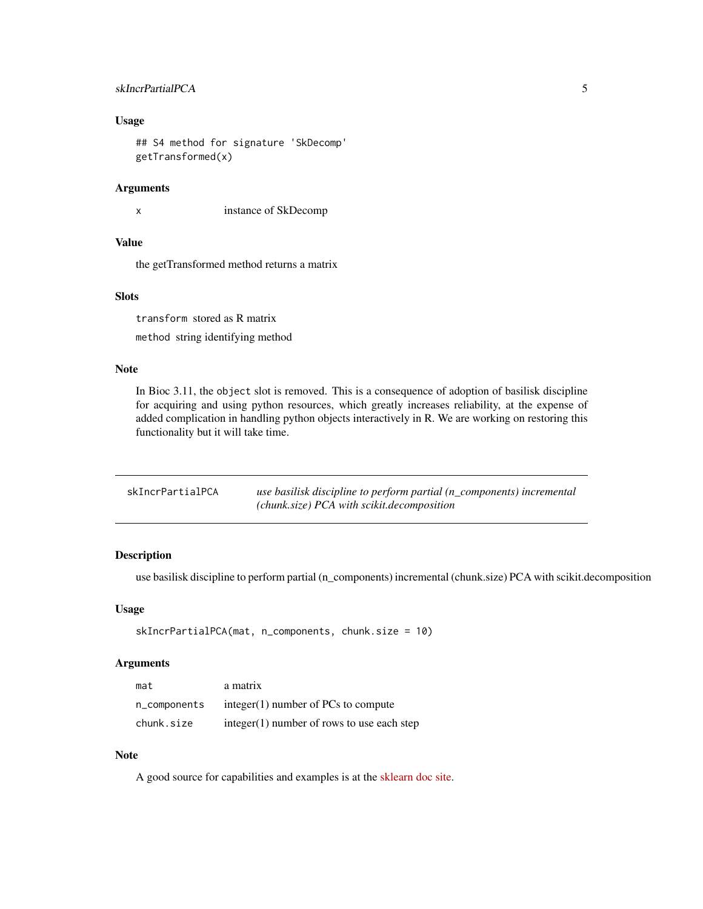# <span id="page-4-0"></span>skIncrPartialPCA 5

# Usage

```
## S4 method for signature 'SkDecomp'
getTransformed(x)
```
## Arguments

x instance of SkDecomp

#### Value

the getTransformed method returns a matrix

# Slots

transform stored as R matrix method string identifying method

# Note

In Bioc 3.11, the object slot is removed. This is a consequence of adoption of basilisk discipline for acquiring and using python resources, which greatly increases reliability, at the expense of added complication in handling python objects interactively in R. We are working on restoring this functionality but it will take time.

| skIncrPartialPCA | use basilisk discipline to perform partial $(n\_components)$ incremental |
|------------------|--------------------------------------------------------------------------|
|                  | (chunk.size) PCA with scikit.decomposition                               |

# Description

use basilisk discipline to perform partial (n\_components) incremental (chunk.size) PCA with scikit.decomposition

#### Usage

```
skIncrPartialPCA(mat, n_components, chunk.size = 10)
```
# Arguments

| mat          | a matrix                                     |
|--------------|----------------------------------------------|
| n_components | integer $(1)$ number of PCs to compute       |
| chunk.size   | $integer(1)$ number of rows to use each step |

### Note

A good source for capabilities and examples is at the [sklearn doc site.](https://scikit-learn.org/stable/modules/decomposition.html#decompositions)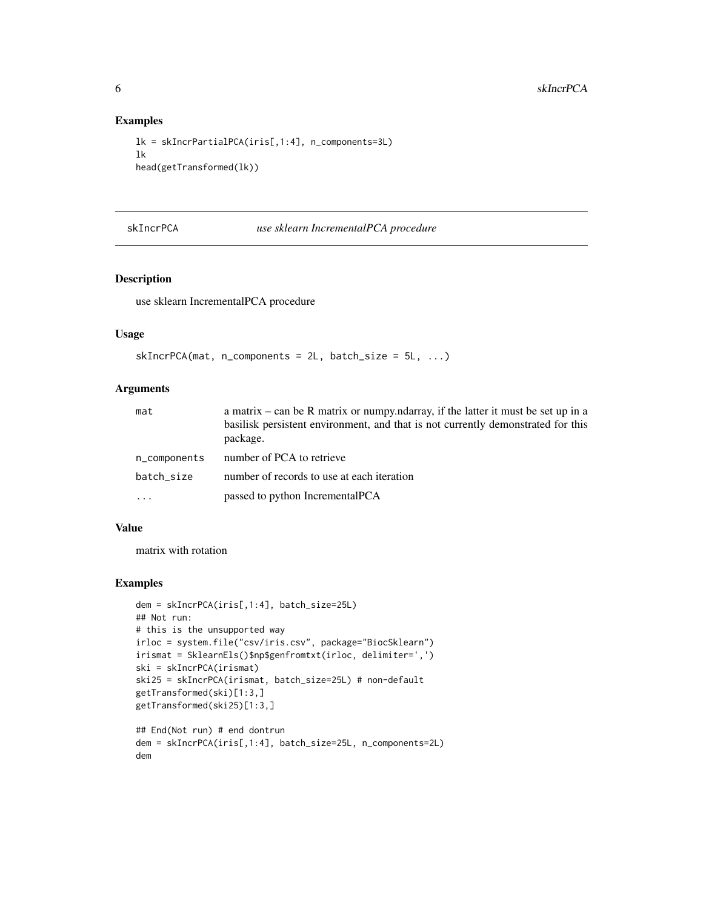#### Examples

```
lk = skIncrPartialPCA(iris[,1:4], n_components=3L)
lk
head(getTransformed(lk))
```
skIncrPCA *use sklearn IncrementalPCA procedure*

# Description

use sklearn IncrementalPCA procedure

# Usage

```
skIncrPCA(mat, n/compents = 2L, batch_size = 5L, ...)
```
## Arguments

| mat          | a matrix – can be R matrix or numpy ndarray, if the latter it must be set up in a            |
|--------------|----------------------------------------------------------------------------------------------|
|              | basilisk persistent environment, and that is not currently demonstrated for this<br>package. |
| n_components | number of PCA to retrieve                                                                    |
| batch_size   | number of records to use at each iteration                                                   |
| $\cdots$     | passed to python IncrementalPCA                                                              |

# Value

matrix with rotation

```
dem = skIncrPCA(iris[,1:4], batch_size=25L)
## Not run:
# this is the unsupported way
irloc = system.file("csv/iris.csv", package="BiocSklearn")
irismat = SklearnEls()$np$genfromtxt(irloc, delimiter=',')
ski = skIncrPCA(irismat)
ski25 = skIncrPCA(irismat, batch_size=25L) # non-default
getTransformed(ski)[1:3,]
getTransformed(ski25)[1:3,]
## End(Not run) # end dontrun
dem = skIncrPCA(iris[,1:4], batch_size=25L, n_components=2L)
dem
```
<span id="page-5-0"></span>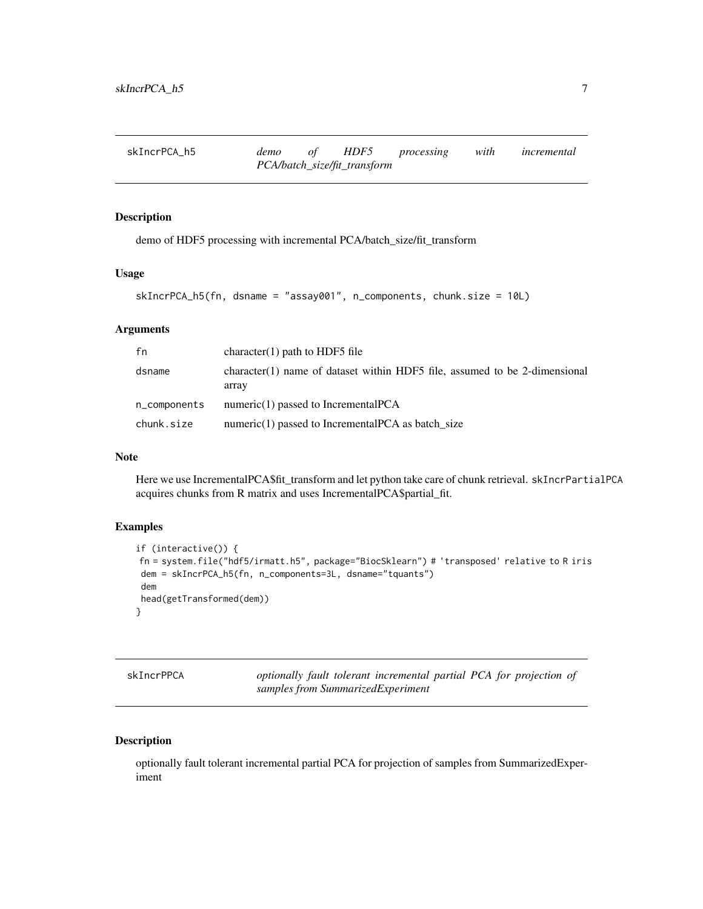<span id="page-6-0"></span>

| skIncrPCA h5 | demo | of | HDF5                         | processing | with | incremental |
|--------------|------|----|------------------------------|------------|------|-------------|
|              |      |    | PCA/batch_size/fit_transform |            |      |             |

#### Description

demo of HDF5 processing with incremental PCA/batch\_size/fit\_transform

### Usage

```
skIncrPCA_h5(fn, dsname = "assay001", n_components, chunk.size = 10L)
```
# Arguments

| fn           | character(1) path to HDF5 file                                                      |
|--------------|-------------------------------------------------------------------------------------|
| dsname       | character(1) name of dataset within HDF5 file, assumed to be 2-dimensional<br>array |
| n_components | numeric $(1)$ passed to Incremental PCA                                             |
| chunk.size   | numeric $(1)$ passed to Incremental PCA as batch size                               |

#### Note

Here we use IncrementalPCA\$fit\_transform and let python take care of chunk retrieval. skIncrPartialPCA acquires chunks from R matrix and uses IncrementalPCA\$partial\_fit.

#### Examples

```
if (interactive()) {
fn = system.file("hdf5/irmatt.h5", package="BiocSklearn") # 'transposed' relative to R iris
dem = skIncrPCA_h5(fn, n_components=3L, dsname="tquants")
dem
head(getTransformed(dem))
}
```

| skIncrPPCA |
|------------|
|------------|

optionally fault tolerant incremental partial PCA for projection of *samples from SummarizedExperiment*

# Description

optionally fault tolerant incremental partial PCA for projection of samples from SummarizedExperiment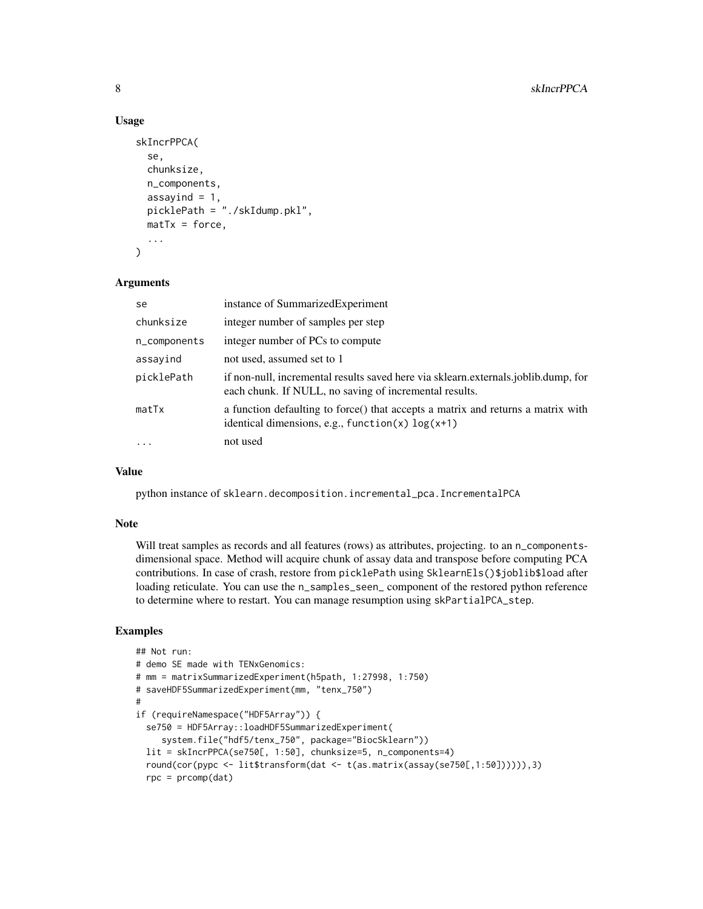#### Usage

```
skIncrPPCA(
  se,
  chunksize,
  n_components,
  assayind = 1,
  picklePath = "./skIdump.pkl",
  \text{matTx} = \text{force},
  ...
)
```
### Arguments

| se           | instance of Summarized Experiment                                                                                                            |
|--------------|----------------------------------------------------------------------------------------------------------------------------------------------|
| chunksize    | integer number of samples per step                                                                                                           |
| n_components | integer number of PCs to compute                                                                                                             |
| assayind     | not used, assumed set to 1                                                                                                                   |
| picklePath   | if non-null, incremental results saved here via sklearn externals joblib.dump, for<br>each chunk. If NULL, no saving of incremental results. |
| matTx        | a function defaulting to force() that accepts a matrix and returns a matrix with<br>identical dimensions, e.g., function(x) $log(x+1)$       |
|              | not used                                                                                                                                     |

### Value

python instance of sklearn.decomposition.incremental\_pca.IncrementalPCA

#### Note

Will treat samples as records and all features (rows) as attributes, projecting. to an n\_componentsdimensional space. Method will acquire chunk of assay data and transpose before computing PCA contributions. In case of crash, restore from picklePath using SklearnEls()\$joblib\$load after loading reticulate. You can use the n\_samples\_seen\_ component of the restored python reference to determine where to restart. You can manage resumption using skPartialPCA\_step.

```
## Not run:
# demo SE made with TENxGenomics:
# mm = matrixSummarizedExperiment(h5path, 1:27998, 1:750)
# saveHDF5SummarizedExperiment(mm, "tenx_750")
#
if (requireNamespace("HDF5Array")) {
  se750 = HDF5Array::loadHDF5SummarizedExperiment(
     system.file("hdf5/tenx_750", package="BiocSklearn"))
  lit = skIncrPPCA(se750[, 1:50], chunksize=5, n_components=4)
  round(cor(pypc <- lit$transform(dat <- t(as.matrix(assay(se750[,1:50]))))),3)
  rpc = prcomp(data)
```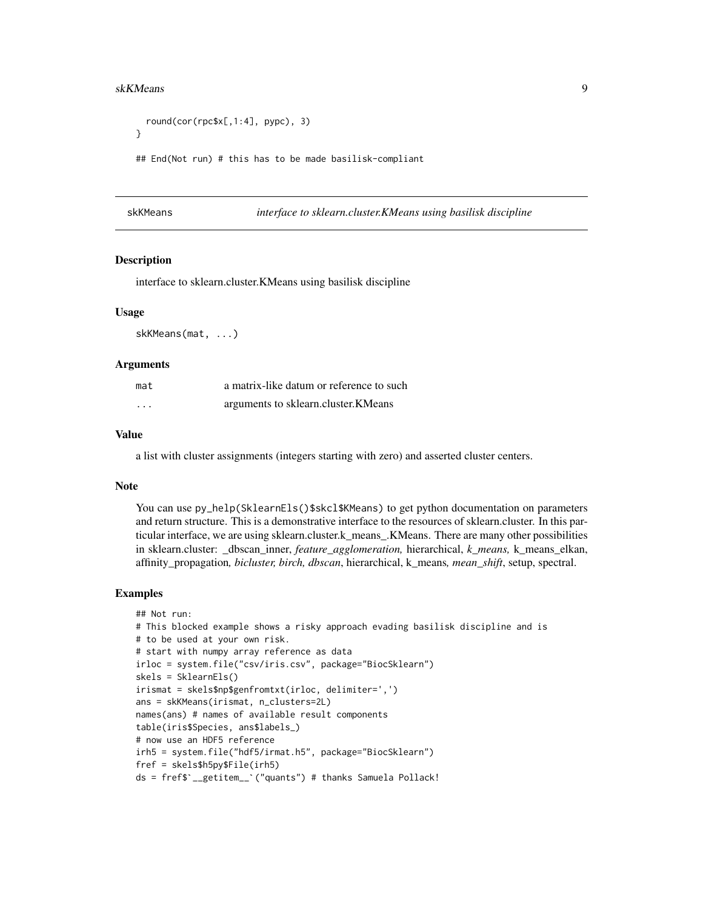#### <span id="page-8-0"></span>skKMeans 9

```
round(cor(rpc$x[,1:4], pypc), 3)
}
## End(Not run) # this has to be made basilisk-compliant
```
skKMeans *interface to sklearn.cluster.KMeans using basilisk discipline*

#### **Description**

interface to sklearn.cluster.KMeans using basilisk discipline

#### Usage

skKMeans(mat, ...)

#### Arguments

| mat      | a matrix-like datum or reference to such |
|----------|------------------------------------------|
| $\cdots$ | arguments to sklearn.cluster.KMeans      |

# Value

a list with cluster assignments (integers starting with zero) and asserted cluster centers.

# Note

You can use py\_help(SklearnEls()\$skcl\$KMeans) to get python documentation on parameters and return structure. This is a demonstrative interface to the resources of sklearn.cluster. In this particular interface, we are using sklearn.cluster.k\_means\_.KMeans. There are many other possibilities in sklearn.cluster: \_dbscan\_inner, *feature\_agglomeration,* hierarchical, *k\_means,* k\_means\_elkan, affinity\_propagation*, bicluster, birch, dbscan*, hierarchical, k\_means*, mean\_shift*, setup, spectral.

```
## Not run:
# This blocked example shows a risky approach evading basilisk discipline and is
# to be used at your own risk.
# start with numpy array reference as data
irloc = system.file("csv/iris.csv", package="BiocSklearn")
skels = SklearnEls()
irismat = skels$np$genfromtxt(irloc, delimiter=',')
ans = skKMeans(irismat, n_clusters=2L)
names(ans) # names of available result components
table(iris$Species, ans$labels_)
# now use an HDF5 reference
irh5 = system.file("hdf5/irmat.h5", package="BiocSklearn")
fref = skels$h5py$File(irh5)
# now use an HDF5 reference<br>irh5 = system.file("hdf5/irmat.h5", package="BiocSklearn")<br>fref = skels$h5py$File(irh5)<br>ds = fref$`__getitem__`("quants") # thanks Samuela Pollack!
```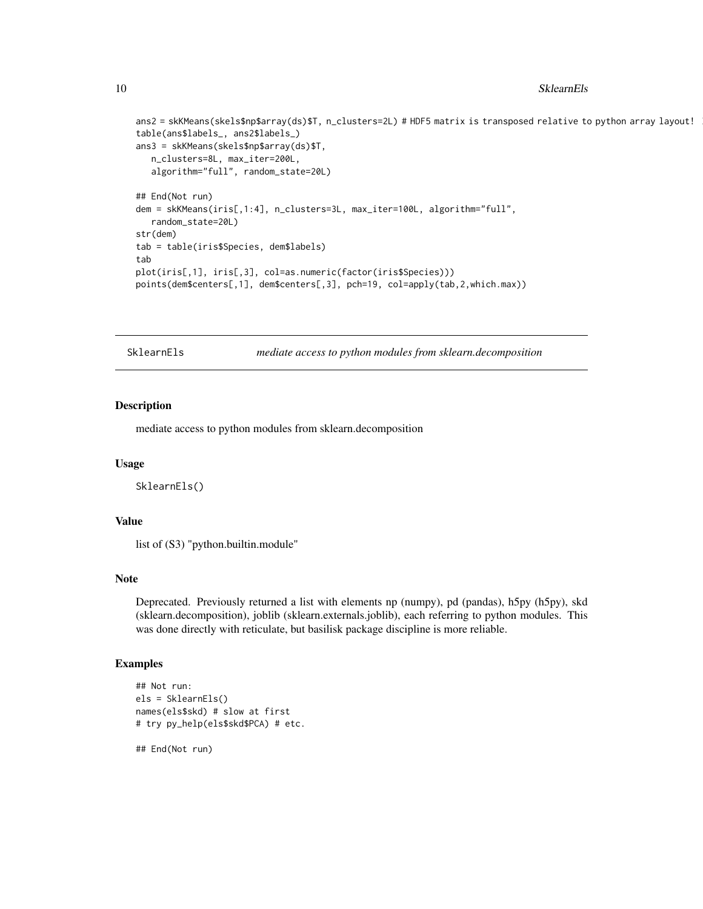#### <span id="page-9-0"></span>10 SklearnEls

```
ans2 = skKMeans(skels$np$array(ds)$T, n_clusters=2L) # HDF5 matrix is transposed relative to python array layout!
table(ans$labels_, ans2$labels_)
ans3 = skKMeans(skels$np$array(ds)$T,
  n_clusters=8L, max_iter=200L,
  algorithm="full", random_state=20L)
## End(Not run)
dem = skKMeans(iris[,1:4], n_clusters=3L, max_iter=100L, algorithm="full",
  random_state=20L)
str(dem)
tab = table(iris$Species, dem$labels)
tab
plot(iris[,1], iris[,3], col=as.numeric(factor(iris$Species)))
points(dem$centers[,1], dem$centers[,3], pch=19, col=apply(tab,2,which.max))
```
SklearnEls *mediate access to python modules from sklearn.decomposition*

#### Description

mediate access to python modules from sklearn.decomposition

#### Usage

SklearnEls()

#### Value

list of (S3) "python.builtin.module"

#### Note

Deprecated. Previously returned a list with elements np (numpy), pd (pandas), h5py (h5py), skd (sklearn.decomposition), joblib (sklearn.externals.joblib), each referring to python modules. This was done directly with reticulate, but basilisk package discipline is more reliable.

# Examples

```
## Not run:
els = SklearnEls()
names(els$skd) # slow at first
# try py_help(els$skd$PCA) # etc.
```
## End(Not run)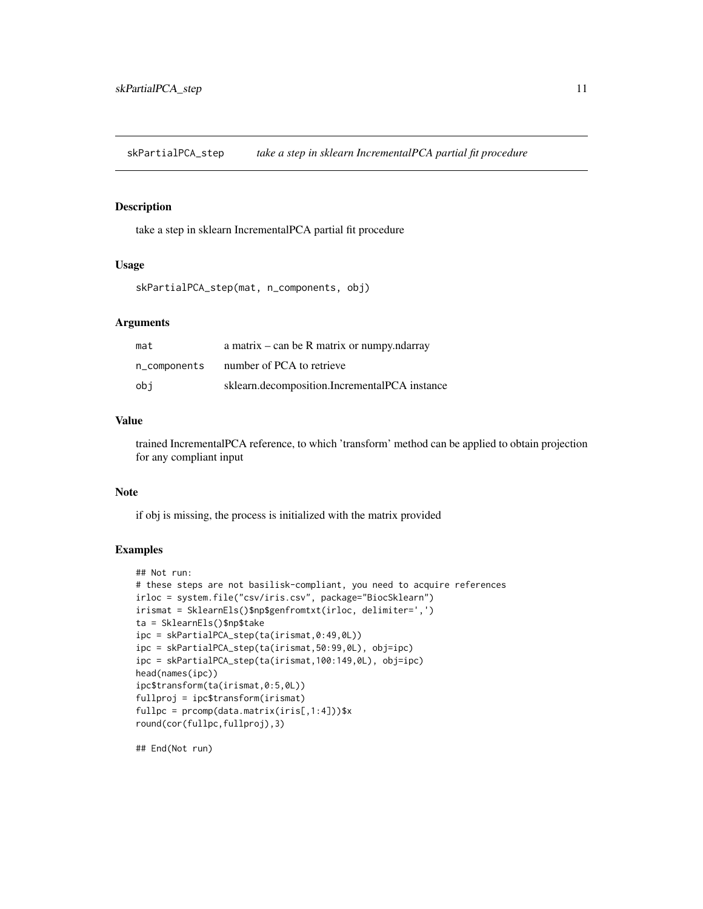<span id="page-10-0"></span>skPartialPCA\_step *take a step in sklearn IncrementalPCA partial fit procedure*

# Description

take a step in sklearn IncrementalPCA partial fit procedure

# Usage

skPartialPCA\_step(mat, n\_components, obj)

#### Arguments

| mat          | a matrix $-$ can be R matrix or numpy.ndarray |
|--------------|-----------------------------------------------|
| n_components | number of PCA to retrieve                     |
| obi          | sklearn.decomposition.IncrementalPCA instance |

#### Value

trained IncrementalPCA reference, to which 'transform' method can be applied to obtain projection for any compliant input

# Note

if obj is missing, the process is initialized with the matrix provided

# Examples

```
## Not run:
# these steps are not basilisk-compliant, you need to acquire references
irloc = system.file("csv/iris.csv", package="BiocSklearn")
irismat = SklearnEls()$np$genfromtxt(irloc, delimiter=',')
ta = SklearnEls()$np$take
ipc = skPartialPCA_step(ta(irismat,0:49,0L))
ipc = skPartialPCA_step(ta(irismat,50:99,0L), obj=ipc)
ipc = skPartialPCA_step(ta(irismat,100:149,0L), obj=ipc)
head(names(ipc))
ipc$transform(ta(irismat,0:5,0L))
fullproj = ipc$transform(irismat)
fullpc = promp(data.matrix(iris[,1:4]))$x
round(cor(fullpc,fullproj),3)
```
## End(Not run)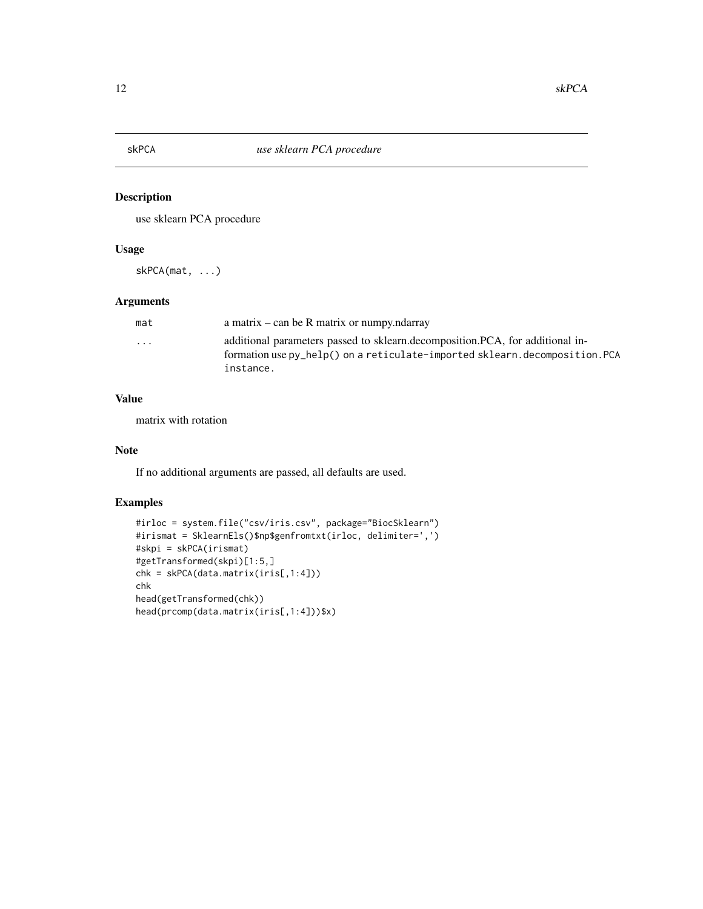<span id="page-11-0"></span>

# Description

use sklearn PCA procedure

# Usage

skPCA(mat, ...)

# Arguments

| mat                     | a matrix – can be R matrix or numpy.ndarray                                    |
|-------------------------|--------------------------------------------------------------------------------|
| $\cdot$ $\cdot$ $\cdot$ | additional parameters passed to sklearn.decomposition. PCA, for additional in- |
|                         | formation use py_help() on a reticulate-imported sklearn.decomposition.PCA     |
|                         | instance.                                                                      |

# Value

matrix with rotation

#### Note

If no additional arguments are passed, all defaults are used.

```
#irloc = system.file("csv/iris.csv", package="BiocSklearn")
#irismat = SklearnEls()$np$genfromtxt(irloc, delimiter=',')
#skpi = skPCA(irismat)
#getTransformed(skpi)[1:5,]
chk = skPCA(data.matrix(iris[,1:4]))
chk
head(getTransformed(chk))
head(prcomp(data.matrix(iris[,1:4]))$x)
```